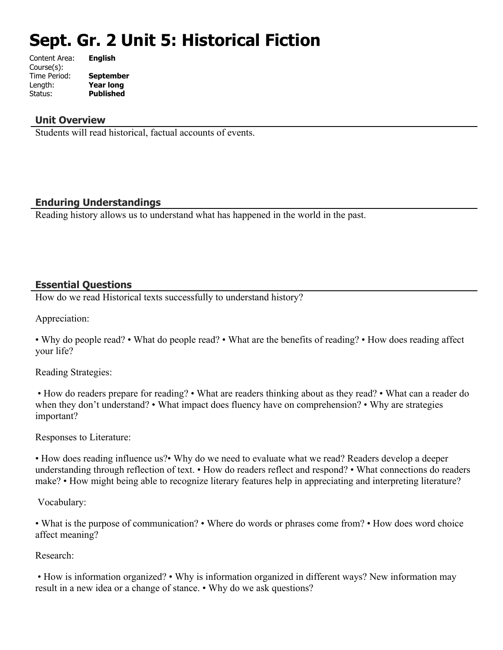# **Sept. Gr. 2 Unit 5: Historical Fiction**

| Content Area: | <b>English</b>   |
|---------------|------------------|
| Course(s):    |                  |
| Time Period:  | <b>September</b> |
| Length:       | <b>Year long</b> |
| Status:       | <b>Published</b> |
|               |                  |

#### **Unit Overview**

Students will read historical, factual accounts of events.

#### **Enduring Understandings**

Reading history allows us to understand what has happened in the world in the past.

#### **Essential Questions**

How do we read Historical texts successfully to understand history?

Appreciation:

• Why do people read? • What do people read? • What are the benefits of reading? • How does reading affect your life?

Reading Strategies:

 • How do readers prepare for reading? • What are readers thinking about as they read? • What can a reader do when they don't understand? • What impact does fluency have on comprehension? • Why are strategies important?

Responses to Literature:

• How does reading influence us?• Why do we need to evaluate what we read? Readers develop a deeper understanding through reflection of text. • How do readers reflect and respond? • What connections do readers make? • How might being able to recognize literary features help in appreciating and interpreting literature?

Vocabulary:

• What is the purpose of communication? • Where do words or phrases come from? • How does word choice affect meaning?

Research:

 • How is information organized? • Why is information organized in different ways? New information may result in a new idea or a change of stance. • Why do we ask questions?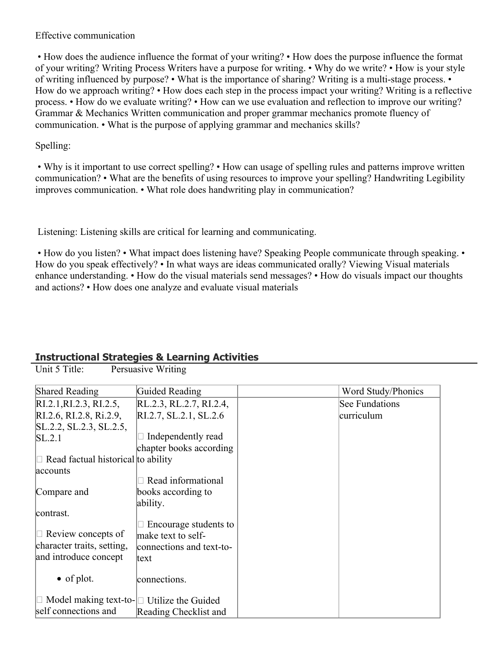#### Effective communication

 • How does the audience influence the format of your writing? • How does the purpose influence the format of your writing? Writing Process Writers have a purpose for writing. • Why do we write? • How is your style of writing influenced by purpose? • What is the importance of sharing? Writing is a multi-stage process. • How do we approach writing? • How does each step in the process impact your writing? Writing is a reflective process. • How do we evaluate writing? • How can we use evaluation and reflection to improve our writing? Grammar & Mechanics Written communication and proper grammar mechanics promote fluency of communication. • What is the purpose of applying grammar and mechanics skills?

#### Spelling:

 • Why is it important to use correct spelling? • How can usage of spelling rules and patterns improve written communication? • What are the benefits of using resources to improve your spelling? Handwriting Legibility improves communication. • What role does handwriting play in communication?

Listening: Listening skills are critical for learning and communicating.

• How do you listen? • What impact does listening have? Speaking People communicate through speaking. • How do you speak effectively? • In what ways are ideas communicated orally? Viewing Visual materials enhance understanding. • How do the visual materials send messages? • How do visuals impact our thoughts and actions? • How does one analyze and evaluate visual materials

### **Instructional Strategies & Learning Activities**

Unit 5 Title: Persuasive Writing

| <b>Shared Reading</b>                                  | Guided Reading           | Word Study/Phonics    |
|--------------------------------------------------------|--------------------------|-----------------------|
| RI.2.1, RI.2.3, RI.2.5,                                | RL.2.3, RL.2.7, RI.2.4,  | <b>See Fundations</b> |
| RI.2.6, RI.2.8, Ri.2.9,                                | RI.2.7, SL.2.1, SL.2.6   | curriculum            |
| SL.2.2, SL.2.3, SL.2.5,                                |                          |                       |
| SL.2.1                                                 | Independently read       |                       |
|                                                        | chapter books according  |                       |
| $\Box$ Read factual historical to ability              |                          |                       |
| accounts                                               |                          |                       |
|                                                        | Read informational       |                       |
| Compare and                                            | books according to       |                       |
|                                                        | ability.                 |                       |
| contrast.                                              |                          |                       |
|                                                        | Encourage students to    |                       |
| $\Box$ Review concepts of                              | make text to self-       |                       |
| character traits, setting,                             | connections and text-to- |                       |
| and introduce concept                                  | text                     |                       |
|                                                        |                          |                       |
| $\bullet$ of plot.                                     | connections.             |                       |
|                                                        |                          |                       |
| $\Box$ Model making text-to- $\Box$ Utilize the Guided |                          |                       |
| self connections and                                   | Reading Checklist and    |                       |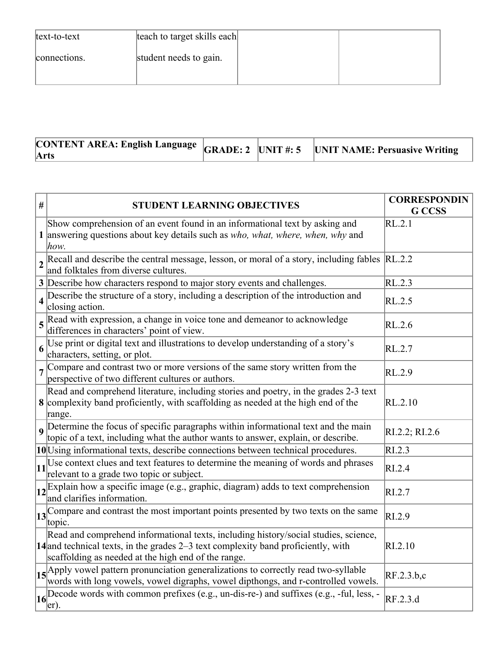| text-to-text | teach to target skills each |  |
|--------------|-----------------------------|--|
| connections. | student needs to gain.      |  |
|              |                             |  |

| $\sim$ ONTENT AREA: English Language $ $ GRADE: 2 $ $ UNIT #: 5 $ $ UNIT NAME: Persuasive Writing<br>Arts |  |  |  |
|-----------------------------------------------------------------------------------------------------------|--|--|--|
|-----------------------------------------------------------------------------------------------------------|--|--|--|

| $\#$                    | <b>STUDENT LEARNING OBJECTIVES</b>                                                                                                                                                                                                | <b>CORRESPONDIN</b><br><b>G</b> CCSS |
|-------------------------|-----------------------------------------------------------------------------------------------------------------------------------------------------------------------------------------------------------------------------------|--------------------------------------|
|                         | Show comprehension of an event found in an informational text by asking and<br>1 answering questions about key details such as who, what, where, when, why and<br>how.                                                            | RL.2.1                               |
| $\overline{2}$          | Recall and describe the central message, lesson, or moral of a story, including fables RL.2.2<br>and folktales from diverse cultures.                                                                                             |                                      |
|                         | 3 Describe how characters respond to major story events and challenges.                                                                                                                                                           | RL.2.3                               |
| $\overline{\mathbf{4}}$ | Describe the structure of a story, including a description of the introduction and<br>closing action.                                                                                                                             | RL.2.5                               |
|                         | $5$ Read with expression, a change in voice tone and demeanor to acknowledge<br>differences in characters' point of view.                                                                                                         | RL.2.6                               |
| 6                       | Use print or digital text and illustrations to develop understanding of a story's<br>characters, setting, or plot.                                                                                                                | RL.2.7                               |
|                         | 7 Compare and contrast two or more versions of the same story written from the<br>perspective of two different cultures or authors.                                                                                               | RL.2.9                               |
|                         | Read and comprehend literature, including stories and poetry, in the grades 2-3 text<br>8 complexity band proficiently, with scaffolding as needed at the high end of the<br>range.                                               | RL.2.10                              |
|                         | 9 Determine the focus of specific paragraphs within informational text and the main<br>topic of a text, including what the author wants to answer, explain, or describe.                                                          | RI.2.2; RI.2.6                       |
|                         | 10 Using informational texts, describe connections between technical procedures.                                                                                                                                                  | RI.2.3                               |
|                         | $\vert$ 11 <sup>Use</sup> context clues and text features to determine the meaning of words and phrases<br>relevant to a grade two topic or subject.                                                                              | RI.2.4                               |
|                         | $\vert_12\vert$ Explain how a specific image (e.g., graphic, diagram) adds to text comprehension<br>and clarifies information.                                                                                                    | RI.2.7                               |
|                         | 13 <sup>Compare</sup> and contrast the most important points presented by two texts on the same<br>topic.                                                                                                                         | RI.2.9                               |
|                         | Read and comprehend informational texts, including history/social studies, science,<br>$14$ and technical texts, in the grades 2–3 text complexity band proficiently, with<br>scaffolding as needed at the high end of the range. | RI.2.10                              |
|                         | 15 Apply vowel pattern pronunciation generalizations to correctly read two-syllable<br>words with long vowels, vowel digraphs, vowel dipthongs, and r-controlled vowels.                                                          | RF.2.3.b,c                           |
|                         | $\log$ Decode words with common prefixes (e.g., un-dis-re-) and suffixes (e.g., -ful, less, -<br>$er)$ .                                                                                                                          | RF.2.3.d                             |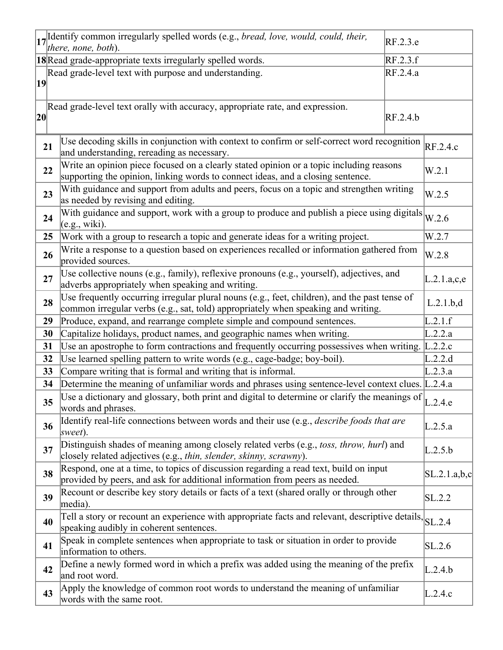|              | 17 Identify common irregularly spelled words (e.g., bread, love, would, could, their,<br>RF.2.3.e<br>there, none, both).                                                                 |              |
|--------------|------------------------------------------------------------------------------------------------------------------------------------------------------------------------------------------|--------------|
|              | RF.2.3.f<br>18 Read grade-appropriate texts irregularly spelled words.                                                                                                                   |              |
|              | Read grade-level text with purpose and understanding.<br>RF.2.4.a                                                                                                                        |              |
| 19           |                                                                                                                                                                                          |              |
| $ 20\rangle$ | Read grade-level text orally with accuracy, appropriate rate, and expression.<br>RF.2.4.b                                                                                                |              |
| 21           | Use decoding skills in conjunction with context to confirm or self-correct word recognition $R_{\text{F.2.4.c}}$<br>and understanding, rereading as necessary.                           |              |
|              | Write an opinion piece focused on a clearly stated opinion or a topic including reasons<br>22<br>supporting the opinion, linking words to connect ideas, and a closing sentence.         | W.2.1        |
|              | With guidance and support from adults and peers, focus on a topic and strengthen writing<br>23<br>as needed by revising and editing.                                                     | W.2.5        |
|              | With guidance and support, work with a group to produce and publish a piece using digitals<br>24<br>(e.g., wiki).                                                                        | W.2.6        |
|              | Work with a group to research a topic and generate ideas for a writing project.<br>25                                                                                                    | W.2.7        |
|              | Write a response to a question based on experiences recalled or information gathered from<br>26<br>provided sources.                                                                     | W.2.8        |
| 27           | Use collective nouns (e.g., family), reflexive pronouns (e.g., yourself), adjectives, and<br>adverbs appropriately when speaking and writing.                                            | L.2.1.a,c,e  |
|              | Use frequently occurring irregular plural nouns (e.g., feet, children), and the past tense of<br>28<br>common irregular verbs (e.g., sat, told) appropriately when speaking and writing. | L.2.1.b.d    |
| 29           | Produce, expand, and rearrange complete simple and compound sentences.                                                                                                                   | L.2.1.f      |
|              | 30<br>Capitalize holidays, product names, and geographic names when writing.                                                                                                             | L.2.2.a      |
| 31           | Use an apostrophe to form contractions and frequently occurring possessives when writing.                                                                                                | L.2.2.c      |
| 32           | Use learned spelling pattern to write words (e.g., cage-badge; boy-boil).                                                                                                                | L.2.2.d      |
|              | 33<br>Compare writing that is formal and writing that is informal.                                                                                                                       | L.2.3.a      |
|              | 34<br>Determine the meaning of unfamiliar words and phrases using sentence-level context clues. [L.2.4.a]                                                                                |              |
|              | Use a dictionary and glossary, both print and digital to determine or clarify the meanings of $L.2.4.e$<br>35<br>words and phrases.                                                      |              |
|              | Identify real-life connections between words and their use (e.g., <i>describe foods that are</i><br>36<br>sweet).                                                                        | L.2.5.a      |
|              | Distinguish shades of meaning among closely related verbs (e.g., <i>toss, throw, hurl</i> ) and<br>37<br>closely related adjectives (e.g., thin, slender, skinny, scrawny).              | L.2.5.b      |
|              | Respond, one at a time, to topics of discussion regarding a read text, build on input<br>38<br>provided by peers, and ask for additional information from peers as needed.               | SL.2.1.a,b,c |
|              | Recount or describe key story details or facts of a text (shared orally or through other<br>39<br>media).                                                                                | SL.2.2       |
|              | Tell a story or recount an experience with appropriate facts and relevant, descriptive details, SL.2.4<br>40<br>speaking audibly in coherent sentences.                                  |              |
| 41           | Speak in complete sentences when appropriate to task or situation in order to provide<br>information to others.                                                                          | SL.2.6       |
|              | Define a newly formed word in which a prefix was added using the meaning of the prefix<br>42<br>and root word.                                                                           | L.2.4.b      |
|              | Apply the knowledge of common root words to understand the meaning of unfamiliar<br>43<br>words with the same root.                                                                      | L.2.4.c      |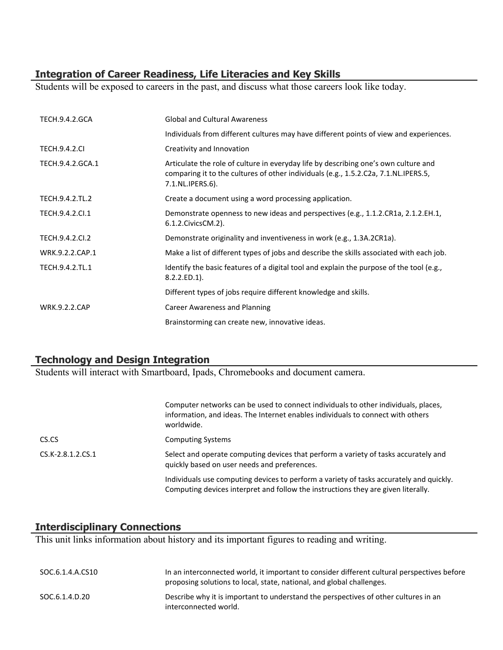## **Integration of Career Readiness, Life Literacies and Key Skills**

Students will be exposed to careers in the past, and discuss what those careers look like today.

| <b>TECH.9.4.2.GCA</b> | <b>Global and Cultural Awareness</b>                                                                                                                                                           |
|-----------------------|------------------------------------------------------------------------------------------------------------------------------------------------------------------------------------------------|
|                       | Individuals from different cultures may have different points of view and experiences.                                                                                                         |
| <b>TECH.9.4.2.CI</b>  | Creativity and Innovation                                                                                                                                                                      |
| TECH.9.4.2.GCA.1      | Articulate the role of culture in everyday life by describing one's own culture and<br>comparing it to the cultures of other individuals (e.g., 1.5.2.C2a, 7.1.NL.IPERS.5,<br>7.1.NL.IPERS.6). |
| TECH.9.4.2.TL.2       | Create a document using a word processing application.                                                                                                                                         |
| TECH.9.4.2.Cl.1       | Demonstrate openness to new ideas and perspectives (e.g., 1.1.2.CR1a, 2.1.2.EH.1,<br>6.1.2. Civics CM. 2).                                                                                     |
| TECH.9.4.2.CI.2       | Demonstrate originality and inventiveness in work (e.g., 1.3A.2CR1a).                                                                                                                          |
| WRK.9.2.2.CAP.1       | Make a list of different types of jobs and describe the skills associated with each job.                                                                                                       |
| TECH.9.4.2.TL.1       | Identify the basic features of a digital tool and explain the purpose of the tool (e.g.,<br>$8.2.2.ED.1$ ).                                                                                    |
|                       | Different types of jobs require different knowledge and skills.                                                                                                                                |
| <b>WRK.9.2.2.CAP</b>  | <b>Career Awareness and Planning</b>                                                                                                                                                           |
|                       | Brainstorming can create new, innovative ideas.                                                                                                                                                |

## **Technology and Design Integration**

Students will interact with Smartboard, Ipads, Chromebooks and document camera.

|                     | Computer networks can be used to connect individuals to other individuals, places,<br>information, and ideas. The Internet enables individuals to connect with others<br>worldwide. |
|---------------------|-------------------------------------------------------------------------------------------------------------------------------------------------------------------------------------|
| CS.CS               | <b>Computing Systems</b>                                                                                                                                                            |
| $CS.K-2.8.1.2.CS.1$ | Select and operate computing devices that perform a variety of tasks accurately and<br>quickly based on user needs and preferences.                                                 |
|                     | Individuals use computing devices to perform a variety of tasks accurately and quickly.<br>Computing devices interpret and follow the instructions they are given literally.        |

## **Interdisciplinary Connections**

This unit links information about history and its important figures to reading and writing.

| SOC.6.1.4.A.CS10 | In an interconnected world, it important to consider different cultural perspectives before<br>proposing solutions to local, state, national, and global challenges. |
|------------------|----------------------------------------------------------------------------------------------------------------------------------------------------------------------|
| SOC.6.1.4.D.20   | Describe why it is important to understand the perspectives of other cultures in an<br>interconnected world.                                                         |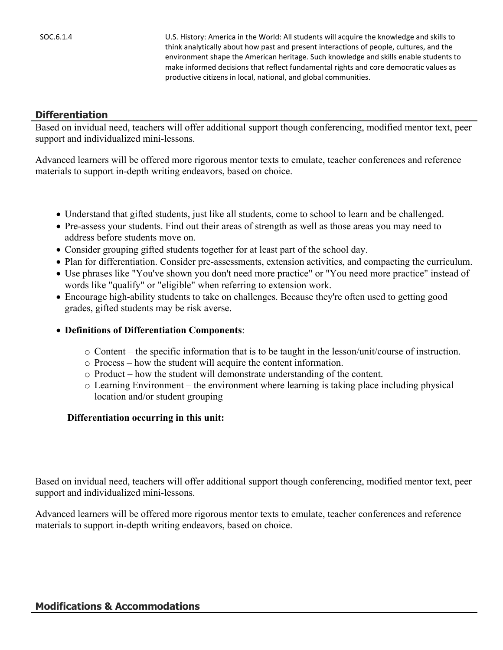SOC.6.1.4 U.S. History: America in the World: All students will acquire the knowledge and skills to think analytically about how past and present interactions of people, cultures, and the environment shape the American heritage. Such knowledge and skills enable students to make informed decisions that reflect fundamental rights and core democratic values as productive citizens in local, national, and global communities.

#### **Differentiation**

Based on invidual need, teachers will offer additional support though conferencing, modified mentor text, peer support and individualized mini-lessons.

Advanced learners will be offered more rigorous mentor texts to emulate, teacher conferences and reference materials to support in-depth writing endeavors, based on choice.

- Understand that gifted students, just like all students, come to school to learn and be challenged.
- Pre-assess your students. Find out their areas of strength as well as those areas you may need to address before students move on.
- Consider grouping gifted students together for at least part of the school day.
- Plan for differentiation. Consider pre-assessments, extension activities, and compacting the curriculum.
- Use phrases like "You've shown you don't need more practice" or "You need more practice" instead of words like "qualify" or "eligible" when referring to extension work.
- Encourage high-ability students to take on challenges. Because they're often used to getting good grades, gifted students may be risk averse.
- **Definitions of Differentiation Components**:
	- o Content the specific information that is to be taught in the lesson/unit/course of instruction.
	- o Process how the student will acquire the content information.
	- o Product how the student will demonstrate understanding of the content.
	- $\circ$  Learning Environment the environment where learning is taking place including physical location and/or student grouping

#### **Differentiation occurring in this unit:**

Based on invidual need, teachers will offer additional support though conferencing, modified mentor text, peer support and individualized mini-lessons.

Advanced learners will be offered more rigorous mentor texts to emulate, teacher conferences and reference materials to support in-depth writing endeavors, based on choice.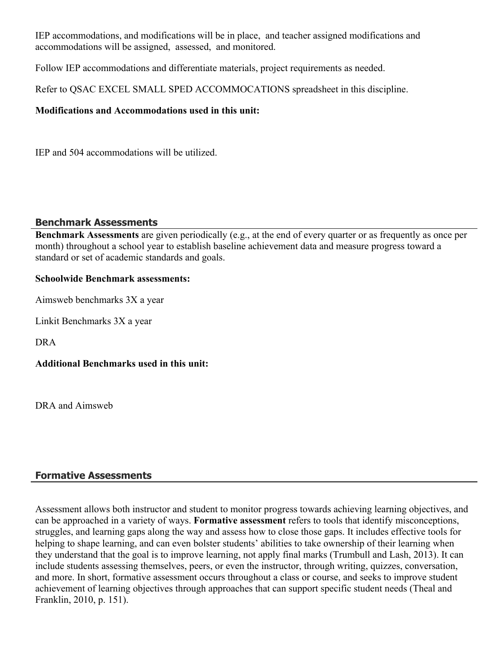IEP accommodations, and modifications will be in place, and teacher assigned modifications and accommodations will be assigned, assessed, and monitored.

Follow IEP accommodations and differentiate materials, project requirements as needed.

Refer to QSAC EXCEL SMALL SPED ACCOMMOCATIONS spreadsheet in this discipline.

#### **Modifications and Accommodations used in this unit:**

IEP and 504 accommodations will be utilized.

#### **Benchmark Assessments**

**Benchmark Assessments** are given periodically (e.g., at the end of every quarter or as frequently as once per month) throughout a school year to establish baseline achievement data and measure progress toward a standard or set of academic standards and goals.

#### **Schoolwide Benchmark assessments:**

Aimsweb benchmarks 3X a year

Linkit Benchmarks 3X a year

DRA

**Additional Benchmarks used in this unit:**

DRA and Aimsweb

## **Formative Assessments**

Assessment allows both instructor and student to monitor progress towards achieving learning objectives, and can be approached in a variety of ways. **Formative assessment** refers to tools that identify misconceptions, struggles, and learning gaps along the way and assess how to close those gaps. It includes effective tools for helping to shape learning, and can even bolster students' abilities to take ownership of their learning when they understand that the goal is to improve learning, not apply final marks (Trumbull and Lash, 2013). It can include students assessing themselves, peers, or even the instructor, through writing, quizzes, conversation, and more. In short, formative assessment occurs throughout a class or course, and seeks to improve student achievement of learning objectives through approaches that can support specific student needs (Theal and Franklin, 2010, p. 151).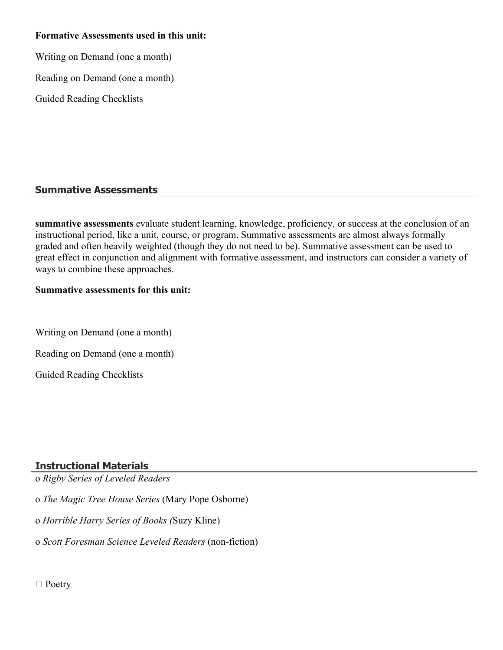#### **Formative Assessments used in this unit:**

Writing on Demand (one a month)

Reading on Demand (one a month)

Guided Reading Checklists

### **Summative Assessments**

**summative assessments** evaluate student learning, knowledge, proficiency, or success at the conclusion of an instructional period, like a unit, course, or program. Summative assessments are almost always formally graded and often heavily weighted (though they do not need to be). Summative assessment can be used to great effect in conjunction and alignment with formative assessment, and instructors can consider a variety of ways to combine these approaches.

#### **Summative assessments for this unit:**

Writing on Demand (one a month)

Reading on Demand (one a month)

Guided Reading Checklists

### **Instructional Materials**

o *Rigby Series of Leveled Readers*

o *The Magic Tree House Series* (Mary Pope Osborne)

o *Horrible Harry Series of Books (*Suzy Kline)

o *Scott Foresman Science Leveled Readers* (non-fiction)

□ Poetry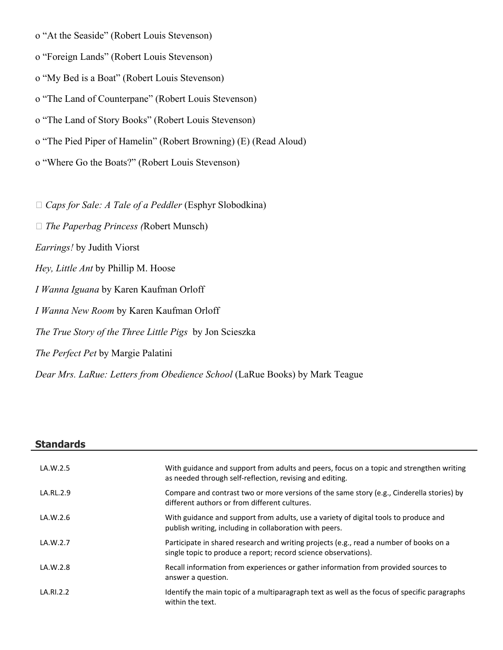- o "At the Seaside" (Robert Louis Stevenson)
- o "Foreign Lands" (Robert Louis Stevenson)
- o "My Bed is a Boat" (Robert Louis Stevenson)
- o "The Land of Counterpane" (Robert Louis Stevenson)
- o "The Land of Story Books" (Robert Louis Stevenson)
- o "The Pied Piper of Hamelin" (Robert Browning) (E) (Read Aloud)
- o "Where Go the Boats?" (Robert Louis Stevenson)

*Caps for Sale: A Tale of a Peddler* (Esphyr Slobodkina)

- *The Paperbag Princess (*Robert Munsch)
- *Earrings!* by Judith Viorst
- *Hey, Little Ant* by Phillip M. Hoose
- *I Wanna Iguana* by Karen Kaufman Orloff
- *I Wanna New Room* by Karen Kaufman Orloff
- *The True Story of the Three Little Pigs* by Jon Scieszka
- *The Perfect Pet* by Margie Palatini

*Dear Mrs. LaRue: Letters from Obedience School* (LaRue Books) by Mark Teague

| <b>Standards</b> |                                                                                                                                                           |
|------------------|-----------------------------------------------------------------------------------------------------------------------------------------------------------|
| LA.W.2.5         | With guidance and support from adults and peers, focus on a topic and strengthen writing<br>as needed through self-reflection, revising and editing.      |
| LA.RL.2.9        | Compare and contrast two or more versions of the same story (e.g., Cinderella stories) by<br>different authors or from different cultures.                |
| LA.W.2.6         | With guidance and support from adults, use a variety of digital tools to produce and<br>publish writing, including in collaboration with peers.           |
| LA.W.2.7         | Participate in shared research and writing projects (e.g., read a number of books on a<br>single topic to produce a report; record science observations). |
| LA.W.2.8         | Recall information from experiences or gather information from provided sources to<br>answer a question.                                                  |
| LA.RI.2.2        | Identify the main topic of a multiparagraph text as well as the focus of specific paragraphs<br>within the text.                                          |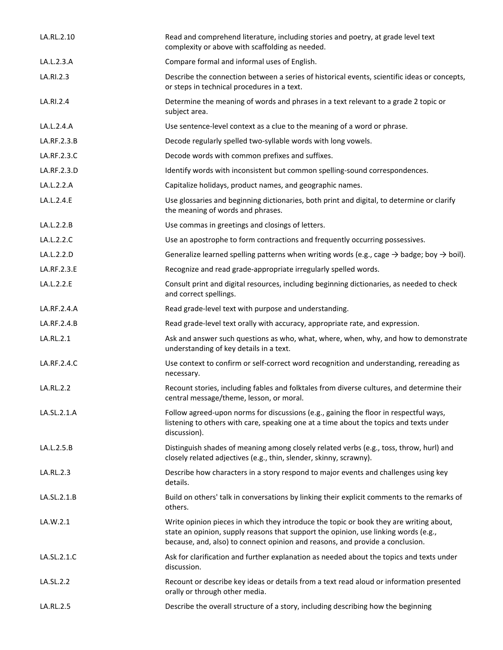| LA.RL.2.10  | Read and comprehend literature, including stories and poetry, at grade level text<br>complexity or above with scaffolding as needed.                                                                                                                           |
|-------------|----------------------------------------------------------------------------------------------------------------------------------------------------------------------------------------------------------------------------------------------------------------|
| LA.L.2.3.A  | Compare formal and informal uses of English.                                                                                                                                                                                                                   |
| LA.RI.2.3   | Describe the connection between a series of historical events, scientific ideas or concepts,<br>or steps in technical procedures in a text.                                                                                                                    |
| LA.RI.2.4   | Determine the meaning of words and phrases in a text relevant to a grade 2 topic or<br>subject area.                                                                                                                                                           |
| LA.L.2.4.A  | Use sentence-level context as a clue to the meaning of a word or phrase.                                                                                                                                                                                       |
| LA.RF.2.3.B | Decode regularly spelled two-syllable words with long vowels.                                                                                                                                                                                                  |
| LA.RF.2.3.C | Decode words with common prefixes and suffixes.                                                                                                                                                                                                                |
| LA.RF.2.3.D | Identify words with inconsistent but common spelling-sound correspondences.                                                                                                                                                                                    |
| LA.L.2.2.A  | Capitalize holidays, product names, and geographic names.                                                                                                                                                                                                      |
| LA.L.2.4.E  | Use glossaries and beginning dictionaries, both print and digital, to determine or clarify<br>the meaning of words and phrases.                                                                                                                                |
| LA.L.2.2.B  | Use commas in greetings and closings of letters.                                                                                                                                                                                                               |
| LA.L.2.2.C  | Use an apostrophe to form contractions and frequently occurring possessives.                                                                                                                                                                                   |
| LA.L.2.2.D  | Generalize learned spelling patterns when writing words (e.g., cage $\rightarrow$ badge; boy $\rightarrow$ boil).                                                                                                                                              |
| LA.RF.2.3.E | Recognize and read grade-appropriate irregularly spelled words.                                                                                                                                                                                                |
| LA.L.2.2.E  | Consult print and digital resources, including beginning dictionaries, as needed to check<br>and correct spellings.                                                                                                                                            |
| LA.RF.2.4.A | Read grade-level text with purpose and understanding.                                                                                                                                                                                                          |
| LA.RF.2.4.B | Read grade-level text orally with accuracy, appropriate rate, and expression.                                                                                                                                                                                  |
| LA.RL.2.1   | Ask and answer such questions as who, what, where, when, why, and how to demonstrate<br>understanding of key details in a text.                                                                                                                                |
| LA.RF.2.4.C | Use context to confirm or self-correct word recognition and understanding, rereading as<br>necessary.                                                                                                                                                          |
| LA.RL.2.2   | Recount stories, including fables and folktales from diverse cultures, and determine their<br>central message/theme, lesson, or moral.                                                                                                                         |
| LA.SL.2.1.A | Follow agreed-upon norms for discussions (e.g., gaining the floor in respectful ways,<br>listening to others with care, speaking one at a time about the topics and texts under<br>discussion).                                                                |
| LA.L.2.5.B  | Distinguish shades of meaning among closely related verbs (e.g., toss, throw, hurl) and<br>closely related adjectives (e.g., thin, slender, skinny, scrawny).                                                                                                  |
| LA.RL.2.3   | Describe how characters in a story respond to major events and challenges using key<br>details.                                                                                                                                                                |
| LA.SL.2.1.B | Build on others' talk in conversations by linking their explicit comments to the remarks of<br>others.                                                                                                                                                         |
| LA.W.2.1    | Write opinion pieces in which they introduce the topic or book they are writing about,<br>state an opinion, supply reasons that support the opinion, use linking words (e.g.,<br>because, and, also) to connect opinion and reasons, and provide a conclusion. |
| LA.SL.2.1.C | Ask for clarification and further explanation as needed about the topics and texts under<br>discussion.                                                                                                                                                        |
| LA.SL.2.2   | Recount or describe key ideas or details from a text read aloud or information presented<br>orally or through other media.                                                                                                                                     |
| LA.RL.2.5   | Describe the overall structure of a story, including describing how the beginning                                                                                                                                                                              |